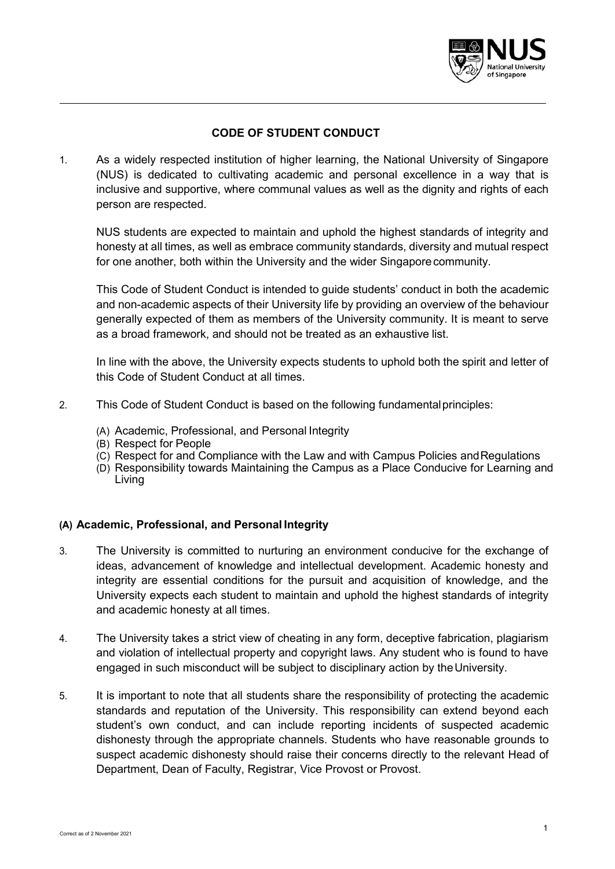

# **CODE OF STUDENT CONDUCT**

1. As a widely respected institution of higher learning, the National University of Singapore (NUS) is dedicated to cultivating academic and personal excellence in a way that is inclusive and supportive, where communal values as well as the dignity and rights of each person are respected.

NUS students are expected to maintain and uphold the highest standards of integrity and honesty at all times, as well as embrace community standards, diversity and mutual respect for one another, both within the University and the wider Singaporecommunity.

This Code of Student Conduct is intended to guide students' conduct in both the academic and non-academic aspects of their University life by providing an overview of the behaviour generally expected of them as members of the University community. It is meant to serve as a broad framework, and should not be treated as an exhaustive list.

In line with the above, the University expects students to uphold both the spirit and letter of this Code of Student Conduct at all times.

- 2. This Code of Student Conduct is based on the following fundamentalprinciples:
	- (A) Academic, Professional, and Personal Integrity
	- (B) Respect for People
	- (C) Respect for and Compliance with the Law and with Campus Policies and Regulations
	- (D) Responsibility towards Maintaining the Campus as a Place Conducive for Learning and Living

## **(A) Academic, Professional, and Personal Integrity**

- 3. The University is committed to nurturing an environment conducive for the exchange of ideas, advancement of knowledge and intellectual development. Academic honesty and integrity are essential conditions for the pursuit and acquisition of knowledge, and the University expects each student to maintain and uphold the highest standards of integrity and academic honesty at all times.
- 4. The University takes a strict view of cheating in any form, deceptive fabrication, plagiarism and violation of intellectual property and copyright laws. Any student who is found to have engaged in such misconduct will be subject to disciplinary action by the University.
- 5. It is important to note that all students share the responsibility of protecting the academic standards and reputation of the University. This responsibility can extend beyond each student's own conduct, and can include reporting incidents of suspected academic dishonesty through the appropriate channels. Students who have reasonable grounds to suspect academic dishonesty should raise their concerns directly to the relevant Head of Department, Dean of Faculty, Registrar, Vice Provost or Provost.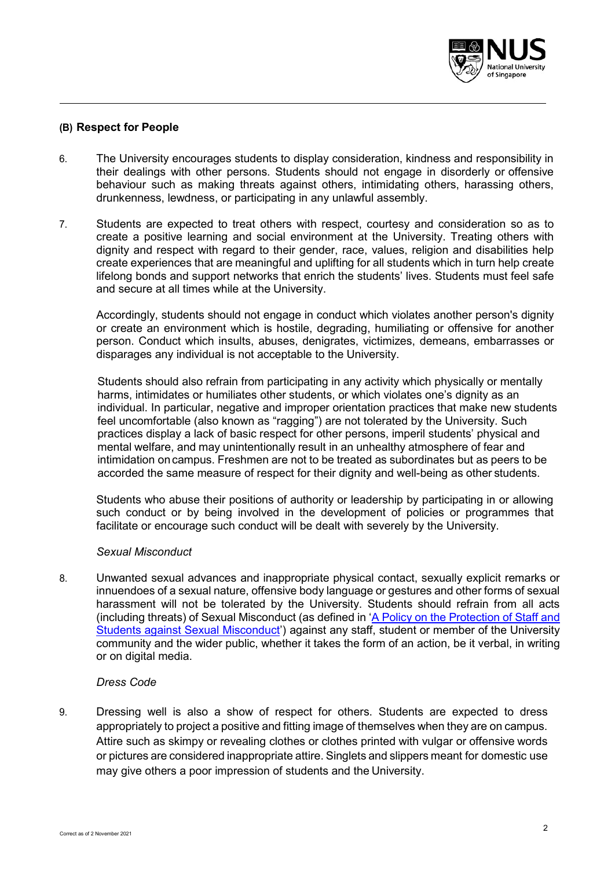

# **(B) Respect for People**

- 6. The University encourages students to display consideration, kindness and responsibility in their dealings with other persons. Students should not engage in disorderly or offensive behaviour such as making threats against others, intimidating others, harassing others, drunkenness, lewdness, or participating in any unlawful assembly.
- 7. Students are expected to treat others with respect, courtesy and consideration so as to create a positive learning and social environment at the University. Treating others with dignity and respect with regard to their gender, race, values, religion and disabilities help create experiences that are meaningful and uplifting for all students which in turn help create lifelong bonds and support networks that enrich the students' lives. Students must feel safe and secure at all times while at the University.

Accordingly, students should not engage in conduct which violates another person's dignity or create an environment which is hostile, degrading, humiliating or offensive for another person. Conduct which insults, abuses, denigrates, victimizes, demeans, embarrasses or disparages any individual is not acceptable to the University.

Students should also refrain from participating in any activity which physically or mentally harms, intimidates or humiliates other students, or which violates one's dignity as an individual. In particular, negative and improper orientation practices that make new students feel uncomfortable (also known as "ragging") are not tolerated by the University. Such practices display a lack of basic respect for other persons, imperil students' physical and mental welfare, and may unintentionally result in an unhealthy atmosphere of fear and intimidation on campus. Freshmen are not to be treated as subordinates but as peers to be accorded the same measure of respect for their dignity and well-being as other students.

Students who abuse their positions of authority or leadership by participating in or allowing such conduct or by being involved in the development of policies or programmes that facilitate or encourage such conduct will be dealt with severely by the University.

#### *Sexual Misconduct*

8. Unwanted sexual advances and inappropriate physical contact, sexually explicit remarks or innuendoes of a sexual nature, offensive body language or gestures and other forms of sexual harassment will not be tolerated by the University. Students should refrain from all acts (including threats) of Sexual Misconduct (as defined in ['A Policy on the Protection of Staff and](https://nus.edu.sg/campusconduct/docs/sexual-misconduct-policy.pdf#page=12)  [Students against Sexual Misconduct'\)](https://nus.edu.sg/campusconduct/docs/sexual-misconduct-policy.pdf#page=12) against any staff, student or member of the University community and the wider public, whether it takes the form of an action, be it verbal, in writing or on digital media.

## *Dress Code*

9. Dressing well is also a show of respect for others. Students are expected to dress appropriately to project a positive and fitting image of themselves when they are on campus. Attire such as skimpy or revealing clothes or clothes printed with vulgar or offensive words or pictures are considered inappropriate attire. Singlets and slippers meant for domestic use may give others a poor impression of students and the University.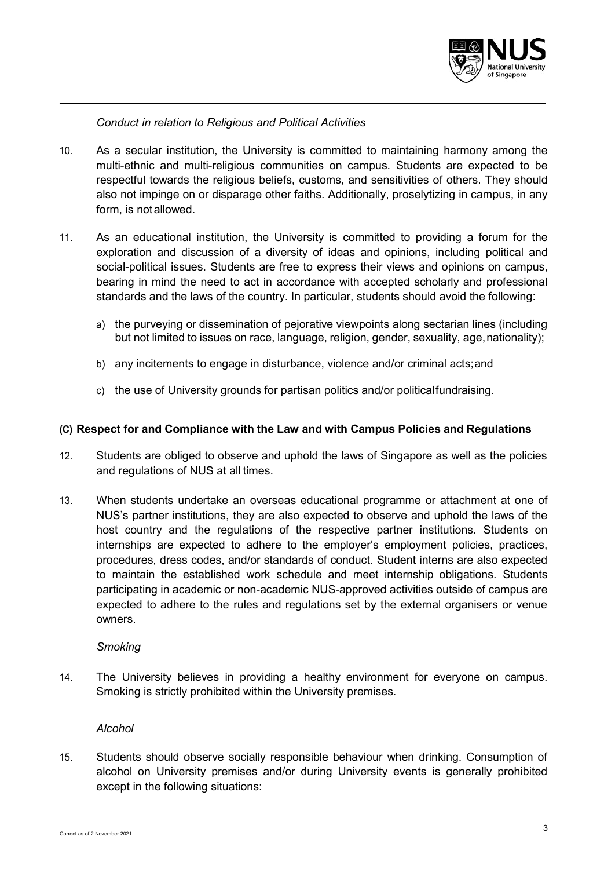

*Conduct in relation to Religious and Political Activities*

- 10. As a secular institution, the University is committed to maintaining harmony among the multi-ethnic and multi-religious communities on campus. Students are expected to be respectful towards the religious beliefs, customs, and sensitivities of others. They should also not impinge on or disparage other faiths. Additionally, proselytizing in campus, in any form, is notallowed.
- 11. As an educational institution, the University is committed to providing a forum for the exploration and discussion of a diversity of ideas and opinions, including political and social-political issues. Students are free to express their views and opinions on campus, bearing in mind the need to act in accordance with accepted scholarly and professional standards and the laws of the country. In particular, students should avoid the following:
	- a) the purveying or dissemination of pejorative viewpoints along sectarian lines (including but not limited to issues on race, language, religion, gender, sexuality, age,nationality);
	- b) any incitements to engage in disturbance, violence and/or criminal acts;and
	- c) the use of University grounds for partisan politics and/or politicalfundraising.

## **(C) Respect for and Compliance with the Law and with Campus Policies and Regulations**

- 12. Students are obliged to observe and uphold the laws of Singapore as well as the policies and regulations of NUS at all times.
- 13. When students undertake an overseas educational programme or attachment at one of NUS's partner institutions, they are also expected to observe and uphold the laws of the host country and the regulations of the respective partner institutions. Students on internships are expected to adhere to the employer's employment policies, practices, procedures, dress codes, and/or standards of conduct. Student interns are also expected to maintain the established work schedule and meet internship obligations. Students participating in academic or non-academic NUS-approved activities outside of campus are expected to adhere to the rules and regulations set by the external organisers or venue owners.

#### *Smoking*

14. The University believes in providing a healthy environment for everyone on campus. Smoking is strictly prohibited within the University premises.

#### *Alcohol*

15. Students should observe socially responsible behaviour when drinking. Consumption of alcohol on University premises and/or during University events is generally prohibited except in the following situations: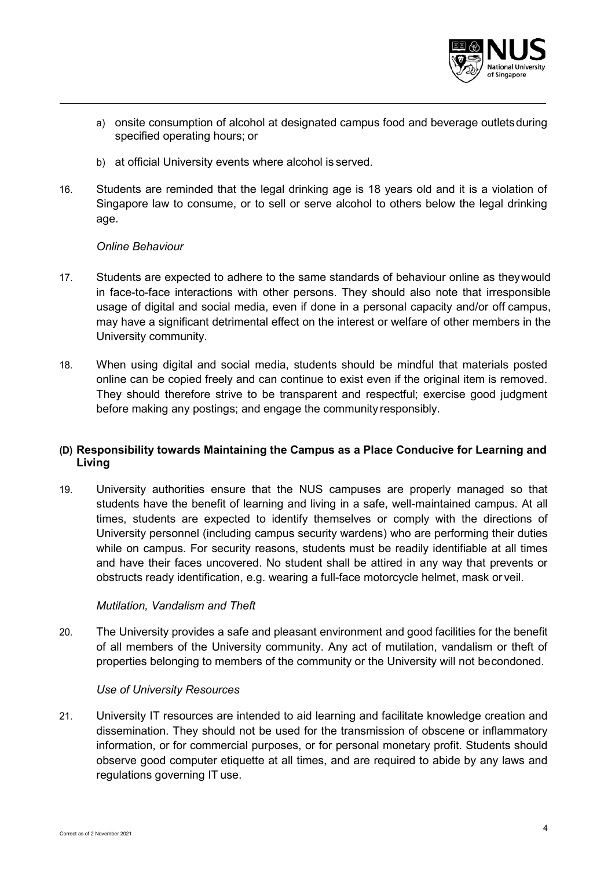

- a) onsite consumption of alcohol at designated campus food and beverage outlets during specified operating hours; or
- b) at official University events where alcohol is served.
- 16. Students are reminded that the legal drinking age is 18 years old and it is a violation of Singapore law to consume, or to sell or serve alcohol to others below the legal drinking age.

## *Online Behaviour*

- 17. Students are expected to adhere to the same standards of behaviour online as theywould in face-to-face interactions with other persons. They should also note that irresponsible usage of digital and social media, even if done in a personal capacity and/or off campus, may have a significant detrimental effect on the interest or welfare of other members in the University community.
- 18. When using digital and social media, students should be mindful that materials posted online can be copied freely and can continue to exist even if the original item is removed. They should therefore strive to be transparent and respectful; exercise good judgment before making any postings; and engage the community responsibly.

# **(D) Responsibility towards Maintaining the Campus as a Place Conducive for Learning and Living**

19. University authorities ensure that the NUS campuses are properly managed so that students have the benefit of learning and living in a safe, well-maintained campus. At all times, students are expected to identify themselves or comply with the directions of University personnel (including campus security wardens) who are performing their duties while on campus. For security reasons, students must be readily identifiable at all times and have their faces uncovered. No student shall be attired in any way that prevents or obstructs ready identification, e.g. wearing a full-face motorcycle helmet, mask or veil.

## *Mutilation, Vandalism and Theft*

20. The University provides a safe and pleasant environment and good facilities for the benefit of all members of the University community. Any act of mutilation, vandalism or theft of properties belonging to members of the community or the University will not becondoned.

## *Use of University Resources*

21. University IT resources are intended to aid learning and facilitate knowledge creation and dissemination. They should not be used for the transmission of obscene or inflammatory information, or for commercial purposes, or for personal monetary profit. Students should observe good computer etiquette at all times, and are required to abide by any laws and regulations governing IT use.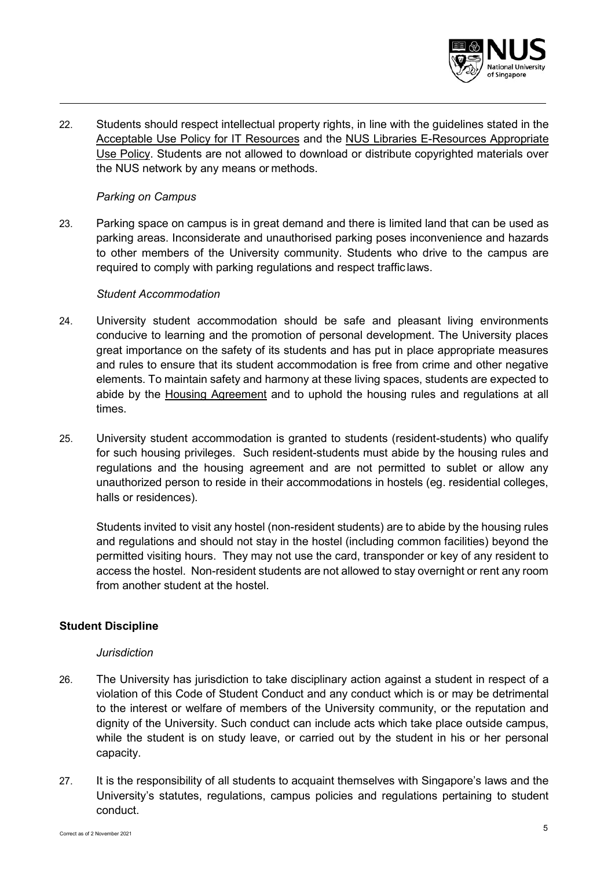

22. Students should respect intellectual property rights, in line with the guidelines stated in the Acceptable Use Policy for IT Resources and the NUS Libraries E-Resources Appropriate Use Policy. Students are not allowed to download or distribute copyrighted materials over the NUS network by any means or methods.

## *Parking on Campus*

23. Parking space on campus is in great demand and there is limited land that can be used as parking areas. Inconsiderate and unauthorised parking poses inconvenience and hazards to other members of the University community. Students who drive to the campus are required to comply with parking regulations and respect traffic laws.

#### *Student Accommodation*

- 24. University student accommodation should be safe and pleasant living environments conducive to learning and the promotion of personal development. The University places great importance on the safety of its students and has put in place appropriate measures and rules to ensure that its student accommodation is free from crime and other negative elements. To maintain safety and harmony at these living spaces, students are expected to abide by the Housing Agreement and to uphold the housing rules and regulations at all times.
- 25. University student accommodation is granted to students (resident-students) who qualify for such housing privileges. Such resident-students must abide by the housing rules and regulations and the housing agreement and are not permitted to sublet or allow any unauthorized person to reside in their accommodations in hostels (eg. residential colleges, halls or residences).

Students invited to visit any hostel (non-resident students) are to abide by the housing rules and regulations and should not stay in the hostel (including common facilities) beyond the permitted visiting hours. They may not use the card, transponder or key of any resident to access the hostel. Non-resident students are not allowed to stay overnight or rent any room from another student at the hostel.

## **Student Discipline**

## *Jurisdiction*

- 26. The University has jurisdiction to take disciplinary action against a student in respect of a violation of this Code of Student Conduct and any conduct which is or may be detrimental to the interest or welfare of members of the University community, or the reputation and dignity of the University. Such conduct can include acts which take place outside campus, while the student is on study leave, or carried out by the student in his or her personal capacity.
- 27. It is the responsibility of all students to acquaint themselves with Singapore's laws and the University's statutes, regulations, campus policies and regulations pertaining to student conduct.